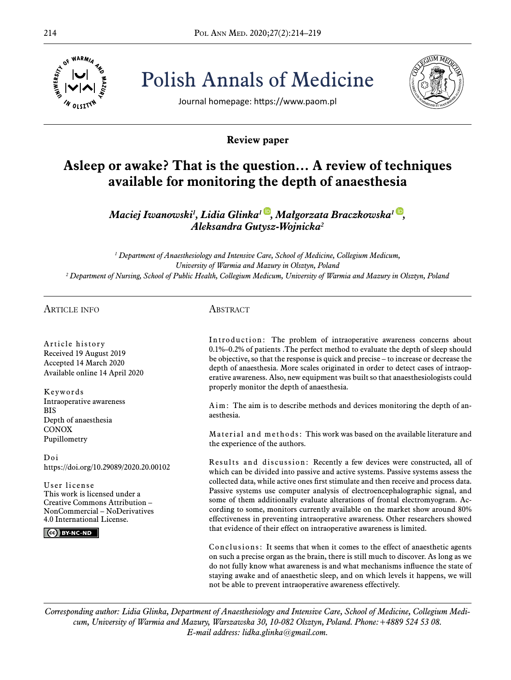

214 Pol ANN MED. 2020;27(2):214–219 Polish Annals of Medicine



Journal homepage: https://www.paom.pl

# **Review paper**

# **Asleep or awake? That is the question… A review of techniques available for monitoring the depth of anaesthesia**

*Maciej Iwanowski1 , Lidia Glinka[1](https://orcid.org/0000-0001-6926-7860) , Małgorzata Braczkowska1 [,](https://orcid.org/0000-0003-0428-1076) Aleksandra Gutysz-Wojnicka<sup>2</sup>*

*1 Department of Anaesthesiology and Intensive Care, School of Medicine, Collegium Medicum, University of Warmia and Mazury in Olsztyn, Poland 2 Department of Nursing, School of Public Health, Collegium Medicum, University of Warmia and Mazury in Olsztyn, Poland*

#### Article info

Article history Received 19 August 2019 Accepted 14 March 2020 Available online 14 April 2020

Keywords Intraoperative awareness BIS Depth of anaesthesia **CONOX** Pupillometry

Doi https://doi.org/10.29089/2020.20.00102

User license This work is licensed under a Creative Commons Attribution – NonCommercial – NoDerivatives 4.0 International License.

 $\left($   $cc\right)$  BY-NC-ND

## **ABSTRACT**

Introduction: The problem of intraoperative awareness concerns about 0.1%–0.2% of patients .The perfect method to evaluate the depth of sleep should be objective, so that the response is quick and precise – to increase or decrease the depth of anaesthesia. More scales originated in order to detect cases of intraoperative awareness. Also, new equipment was built so that anaesthesiologists could properly monitor the depth of anaesthesia.

Aim: The aim is to describe methods and devices monitoring the depth of anaesthesia.

Material and methods: This work was based on the available literature and the experience of the authors.

Results and discussion: Recently a few devices were constructed, all of which can be divided into passive and active systems. Passive systems assess the collected data, while active ones first stimulate and then receive and process data. Passive systems use computer analysis of electroencephalographic signal, and some of them additionally evaluate alterations of frontal electromyogram. According to some, monitors currently available on the market show around 80% effectiveness in preventing intraoperative awareness. Other researchers showed that evidence of their effect on intraoperative awareness is limited.

Conclusions: It seems that when it comes to the effect of anaesthetic agents on such a precise organ as the brain, there is still much to discover. As long as we do not fully know what awareness is and what mechanisms influence the state of staying awake and of anaesthetic sleep, and on which levels it happens, we will not be able to prevent intraoperative awareness effectively.

*Corresponding author: Lidia Glinka, Department of Anaesthesiology and Intensive Care, School of Medicine, Collegium Medicum, University of Warmia and Mazury, Warszawska 30, 10-082 Olsztyn, Poland. Phone:+4889 524 53 08. E-mail address: lidka.glinka@gmail.com.*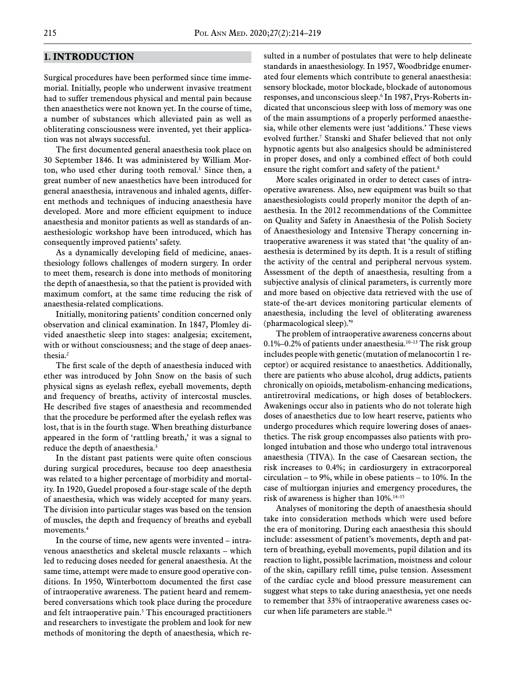#### **1. INTRODUCTION**

Surgical procedures have been performed since time immemorial. Initially, people who underwent invasive treatment had to suffer tremendous physical and mental pain because then anaesthetics were not known yet. In the course of time, a number of substances which alleviated pain as well as obliterating consciousness were invented, yet their application was not always successful.

The first documented general anaesthesia took place on 30 September 1846. It was administered by William Morton, who used ether during tooth removal.<sup>1</sup> Since then, a great number of new anaesthetics have been introduced for general anaesthesia, intravenous and inhaled agents, different methods and techniques of inducing anaesthesia have developed. More and more efficient equipment to induce anaesthesia and monitor patients as well as standards of anaesthesiologic workshop have been introduced, which has consequently improved patients' safety.

As a dynamically developing field of medicine, anaesthesiology follows challenges of modern surgery. In order to meet them, research is done into methods of monitoring the depth of anaesthesia, so that the patient is provided with maximum comfort, at the same time reducing the risk of anaesthesia-related complications.

Initially, monitoring patients' condition concerned only observation and clinical examination. In 1847, Plomley divided anaesthetic sleep into stages: analgesia; excitement, with or without consciousness; and the stage of deep anaesthesia.2

The first scale of the depth of anaesthesia induced with ether was introduced by John Snow on the basis of such physical signs as eyelash reflex, eyeball movements, depth and frequency of breaths, activity of intercostal muscles. He described five stages of anaesthesia and recommended that the procedure be performed after the eyelash reflex was lost, that is in the fourth stage. When breathing disturbance appeared in the form of 'rattling breath,' it was a signal to reduce the depth of anaesthesia.<sup>3</sup>

In the distant past patients were quite often conscious during surgical procedures, because too deep anaesthesia was related to a higher percentage of morbidity and mortality. In 1920, Guedel proposed a four-stage scale of the depth of anaesthesia, which was widely accepted for many years. The division into particular stages was based on the tension of muscles, the depth and frequency of breaths and eyeball movements.4

In the course of time, new agents were invented – intravenous anaesthetics and skeletal muscle relaxants – which led to reducing doses needed for general anaesthesia. At the same time, attempt were made to ensure good operative conditions. In 1950, Winterbottom documented the first case of intraoperative awareness. The patient heard and remembered conversations which took place during the procedure and felt intraoperative pain.<sup>5</sup> This encouraged practitioners and researchers to investigate the problem and look for new methods of monitoring the depth of anaesthesia, which resulted in a number of postulates that were to help delineate standards in anaesthesiology. In 1957, Woodbridge enumerated four elements which contribute to general anaesthesia: sensory blockade, motor blockade, blockade of autonomous responses, and unconscious sleep.6 In 1987, Prys-Roberts indicated that unconscious sleep with loss of memory was one of the main assumptions of a properly performed anaesthesia, while other elements were just 'additions.' These views evolved further.7 Stanski and Shafer believed that not only hypnotic agents but also analgesics should be administered in proper doses, and only a combined effect of both could ensure the right comfort and safety of the patient.<sup>8</sup>

More scales originated in order to detect cases of intraoperative awareness. Also, new equipment was built so that anaesthesiologists could properly monitor the depth of anaesthesia. In the 2012 recommendations of the Committee on Quality and Safety in Anaesthesia of the Polish Society of Anaesthesiology and Intensive Therapy concerning intraoperative awareness it was stated that 'the quality of anaesthesia is determined by its depth. It is a result of stifling the activity of the central and peripheral nervous system. Assessment of the depth of anaesthesia, resulting from a subjective analysis of clinical parameters, is currently more and more based on objective data retrieved with the use of state-of the-art devices monitoring particular elements of anaesthesia, including the level of obliterating awareness (pharmacological sleep).'9

The problem of intraoperative awareness concerns about  $0.1\%$ –0.2% of patients under anaesthesia.<sup>10–13</sup> The risk group includes people with genetic (mutation of melanocortin 1 receptor) or acquired resistance to anaesthetics. Additionally, there are patients who abuse alcohol, drug addicts, patients chronically on opioids, metabolism-enhancing medications, antiretroviral medications, or high doses of betablockers. Awakenings occur also in patients who do not tolerate high doses of anaesthetics due to low heart reserve, patients who undergo procedures which require lowering doses of anaesthetics. The risk group encompasses also patients with prolonged intubation and those who undergo total intravenous anaesthesia (TIVA). In the case of Caesarean section, the risk increases to 0.4%; in cardiosurgery in extracorporeal circulation – to 9%, while in obese patients – to 10%. In the case of multiorgan injuries and emergency procedures, the risk of awareness is higher than  $10\%$ .<sup>14–15</sup>

Analyses of monitoring the depth of anaesthesia should take into consideration methods which were used before the era of monitoring. During each anaesthesia this should include: assessment of patient's movements, depth and pattern of breathing, eyeball movements, pupil dilation and its reaction to light, possible lacrimation, moistness and colour of the skin, capillary refill time, pulse tension. Assessment of the cardiac cycle and blood pressure measurement can suggest what steps to take during anaesthesia, yet one needs to remember that 33% of intraoperative awareness cases occur when life parameters are stable.16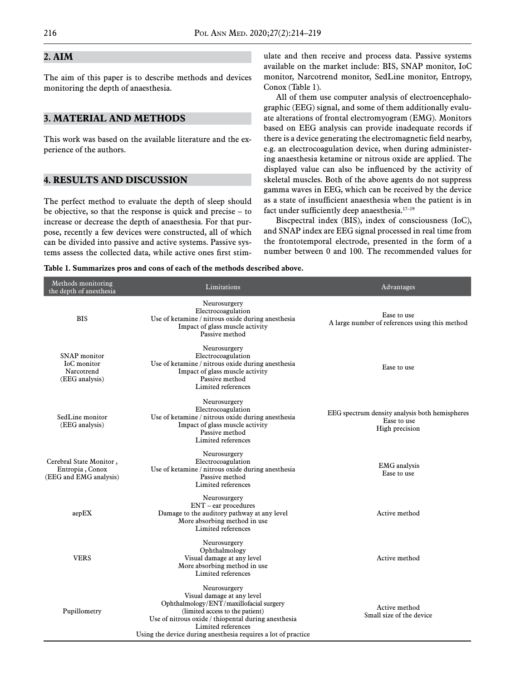# **2. AIM**

The aim of this paper is to describe methods and devices monitoring the depth of anaesthesia.

#### **3. MATERIAL AND METHODS**

This work was based on the available literature and the experience of the authors.

#### **4. RESULTS AND DISCUSSION**

The perfect method to evaluate the depth of sleep should be objective, so that the response is quick and precise – to increase or decrease the depth of anaesthesia. For that purpose, recently a few devices were constructed, all of which can be divided into passive and active systems. Passive systems assess the collected data, while active ones first stimulate and then receive and process data. Passive systems available on the market include: BIS, SNAP monitor, IoC monitor, Narcotrend monitor, SedLine monitor, Entropy, Conox (Table 1).

All of them use computer analysis of electroencephalographic (EEG) signal, and some of them additionally evaluate alterations of frontal electromyogram (EMG). Monitors based on EEG analysis can provide inadequate records if there is a device generating the electromagnetic field nearby, e.g. an electrocoagulation device, when during administering anaesthesia ketamine or nitrous oxide are applied. The displayed value can also be influenced by the activity of skeletal muscles. Both of the above agents do not suppress gamma waves in EEG, which can be received by the device as a state of insufficient anaesthesia when the patient is in fact under sufficiently deep anaesthesia.<sup>17-19</sup>

Biscpectral index (BIS), index of consciousness (IoC), and SNAP index are EEG signal processed in real time from the frontotemporal electrode, presented in the form of a number between 0 and 100. The recommended values for

**Table 1. Summarizes pros and cons of each of the methods described above.**

| Methods monitoring<br>the depth of anesthesia                        | Limitations                                                                                                                                                                                                                                                            | Advantages                                                                      |
|----------------------------------------------------------------------|------------------------------------------------------------------------------------------------------------------------------------------------------------------------------------------------------------------------------------------------------------------------|---------------------------------------------------------------------------------|
| <b>BIS</b>                                                           | Neurosurgery<br>Electrocoagulation<br>Use of ketamine / nitrous oxide during anesthesia<br>Impact of glass muscle activity<br>Passive method                                                                                                                           | Ease to use<br>A large number of references using this method                   |
| SNAP monitor<br><b>IoC</b> monitor<br>Narcotrend<br>(EEG analysis)   | Neurosurgery<br>Electrocoagulation<br>Use of ketamine / nitrous oxide during anesthesia<br>Impact of glass muscle activity<br>Passive method<br>Limited references                                                                                                     | Ease to use                                                                     |
| SedLine monitor<br>(EEG analysis)                                    | Neurosurgery<br>Electrocoagulation<br>Use of ketamine / nitrous oxide during anesthesia<br>Impact of glass muscle activity<br>Passive method<br>Limited references                                                                                                     | EEG spectrum density analysis both hemispheres<br>Ease to use<br>High precision |
| Cerebral State Monitor,<br>Entropia, Conox<br>(EEG and EMG analysis) | Neurosurgery<br>Electrocoagulation<br>Use of ketamine / nitrous oxide during anesthesia<br>Passive method<br>Limited references                                                                                                                                        | <b>EMG</b> analysis<br>Ease to use                                              |
| aepEX                                                                | Neurosurgery<br>$ENT$ – ear procedures<br>Damage to the auditory pathway at any level<br>More absorbing method in use<br>Limited references                                                                                                                            | Active method                                                                   |
| <b>VERS</b>                                                          | Neurosurgery<br>Ophthalmology<br>Visual damage at any level<br>More absorbing method in use<br>Limited references                                                                                                                                                      | Active method                                                                   |
| Pupillometry                                                         | Neurosurgery<br>Visual damage at any level<br>Ophthalmology/ENT/maxillofacial surgery<br>(limited access to the patient)<br>Use of nitrous oxide / thiopental during anesthesia<br>Limited references<br>Using the device during anesthesia requires a lot of practice | Active method<br>Small size of the device                                       |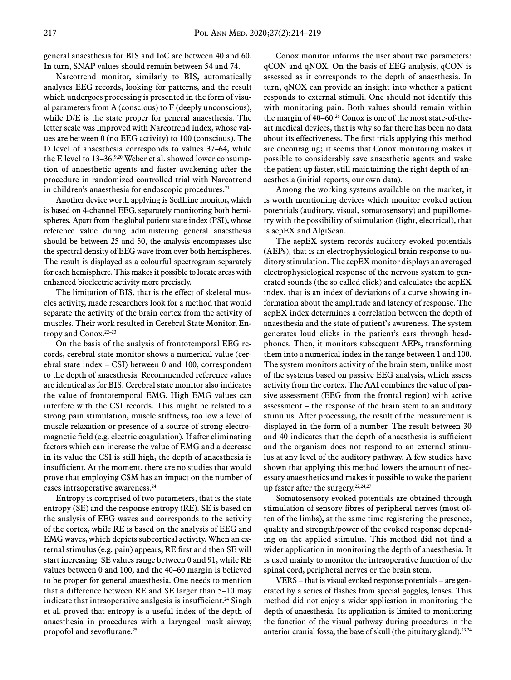general anaesthesia for BIS and IoC are between 40 and 60. In turn, SNAP values should remain between 54 and 74.

Narcotrend monitor, similarly to BIS, automatically analyses EEG records, looking for patterns, and the result which undergoes processing is presented in the form of visual parameters from A (conscious) to F (deeply unconscious), while D/E is the state proper for general anaesthesia. The letter scale was improved with Narcotrend index, whose values are between 0 (no EEG activity) to 100 (conscious). The D level of anaesthesia corresponds to values 37–64, while the E level to 13-36.<sup>9,20</sup> Weber et al. showed lower consumption of anaesthetic agents and faster awakening after the procedure in randomized controlled trial with Narcotrend in children's anaesthesia for endoscopic procedures.<sup>21</sup>

Another device worth applying is SedLine monitor, which is based on 4-channel EEG, separately monitoring both hemispheres. Apart from the global patient state index (PSI), whose reference value during administering general anaesthesia should be between 25 and 50, the analysis encompasses also the spectral density of EEG wave from over both hemispheres. The result is displayed as a colourful spectrogram separately for each hemisphere. This makes it possible to locate areas with enhanced bioelectric activity more precisely.

The limitation of BIS, that is the effect of skeletal muscles activity, made researchers look for a method that would separate the activity of the brain cortex from the activity of muscles. Their work resulted in Cerebral State Monitor, Entropy and Conox.<sup>22-23</sup>

On the basis of the analysis of frontotemporal EEG records, cerebral state monitor shows a numerical value (cerebral state index  $-$  CSI) between 0 and 100, correspondent to the depth of anaesthesia. Recommended reference values are identical as for BIS. Cerebral state monitor also indicates the value of frontotemporal EMG. High EMG values can interfere with the CSI records. This might be related to a strong pain stimulation, muscle stiffness, too low a level of muscle relaxation or presence of a source of strong electromagnetic field (e.g. electric coagulation). If after eliminating factors which can increase the value of EMG and a decrease in its value the CSI is still high, the depth of anaesthesia is insufficient. At the moment, there are no studies that would prove that employing CSM has an impact on the number of cases intraoperative awareness.24

Entropy is comprised of two parameters, that is the state entropy (SE) and the response entropy (RE). SE is based on the analysis of EEG waves and corresponds to the activity of the cortex, while RE is based on the analysis of EEG and EMG waves, which depicts subcortical activity. When an external stimulus (e.g. pain) appears, RE first and then SE will start increasing. SE values range between 0 and 91, while RE values between 0 and 100, and the 40–60 margin is believed to be proper for general anaesthesia. One needs to mention that a difference between RE and SE larger than 5–10 may indicate that intraoperative analgesia is insufficient.<sup>24</sup> Singh et al. proved that entropy is a useful index of the depth of anaesthesia in procedures with a laryngeal mask airway, propofol and sevoflurane.<sup>25</sup>

Conox monitor informs the user about two parameters: qCON and qNOX. On the basis of EEG analysis, qCON is assessed as it corresponds to the depth of anaesthesia. In turn, qNOX can provide an insight into whether a patient responds to external stimuli. One should not identify this with monitoring pain. Both values should remain within the margin of 40–60.26 Conox is one of the most state-of-theart medical devices, that is why so far there has been no data about its effectiveness. The first trials applying this method are encouraging; it seems that Conox monitoring makes it possible to considerably save anaesthetic agents and wake the patient up faster, still maintaining the right depth of anaesthesia (initial reports, our own data).

Among the working systems available on the market, it is worth mentioning devices which monitor evoked action potentials (auditory, visual, somatosensory) and pupillometry with the possibility of stimulation (light, electrical), that is aepEX and AlgiScan.

The aepEX system records auditory evoked potentials (AEPs), that is an electrophysiological brain response to auditory stimulation. The aepEX monitor displays an averaged electrophysiological response of the nervous system to generated sounds (the so called click) and calculates the aepEX index, that is an index of deviations of a curve showing information about the amplitude and latency of response. The aepEX index determines a correlation between the depth of anaesthesia and the state of patient's awareness. The system generates loud clicks in the patient's ears through headphones. Then, it monitors subsequent AEPs, transforming them into a numerical index in the range between 1 and 100. The system monitors activity of the brain stem, unlike most of the systems based on passive EEG analysis, which assess activity from the cortex. The AAI combines the value of passive assessment (EEG from the frontal region) with active assessment – the response of the brain stem to an auditory stimulus. After processing, the result of the measurement is displayed in the form of a number. The result between 30 and 40 indicates that the depth of anaesthesia is sufficient and the organism does not respond to an external stimulus at any level of the auditory pathway. A few studies have shown that applying this method lowers the amount of necessary anaesthetics and makes it possible to wake the patient up faster after the surgery.<sup>22,24,27</sup>

Somatosensory evoked potentials are obtained through stimulation of sensory fibres of peripheral nerves (most often of the limbs), at the same time registering the presence, quality and strength/power of the evoked response depending on the applied stimulus. This method did not find a wider application in monitoring the depth of anaesthesia. It is used mainly to monitor the intraoperative function of the spinal cord, peripheral nerves or the brain stem.

VERS – that is visual evoked response potentials – are generated by a series of flashes from special goggles, lenses. This method did not enjoy a wider application in monitoring the depth of anaesthesia. Its application is limited to monitoring the function of the visual pathway during procedures in the anterior cranial fossa, the base of skull (the pituitary gland). $^{23,24}$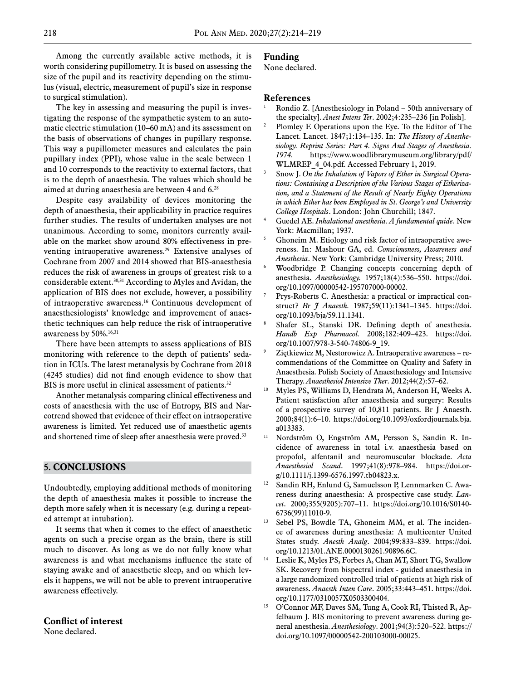Among the currently available active methods, it is worth considering pupillometry. It is based on assessing the size of the pupil and its reactivity depending on the stimulus (visual, electric, measurement of pupil's size in response to surgical stimulation).

The key in assessing and measuring the pupil is investigating the response of the sympathetic system to an automatic electric stimulation (10–60 mA) and its assessment on the basis of observations of changes in pupillary response. This way a pupillometer measures and calculates the pain pupillary index (PPI), whose value in the scale between 1 and 10 corresponds to the reactivity to external factors, that is to the depth of anaesthesia. The values which should be aimed at during anaesthesia are between 4 and 6.28

Despite easy availability of devices monitoring the depth of anaesthesia, their applicability in practice requires further studies. The results of undertaken analyses are not unanimous. According to some, monitors currently available on the market show around 80% effectiveness in preventing intraoperative awareness.<sup>29</sup> Extensive analyses of Cochrane from 2007 and 2014 showed that BIS-anaesthesia reduces the risk of awareness in groups of greatest risk to a considerable extent.<sup>30,31</sup> According to Myles and Avidan, the application of BIS does not exclude, however, a possibility of intraoperative awareness.16 Continuous development of anaesthesiologists' knowledge and improvement of anaesthetic techniques can help reduce the risk of intraoperative awareness by 50%.<sup>16,31</sup>

There have been attempts to assess applications of BIS monitoring with reference to the depth of patients' sedation in ICUs. The latest metanalysis by Cochrane from 2018 (4245 studies) did not find enough evidence to show that BIS is more useful in clinical assessment of patients.<sup>32</sup>

Another metanalysis comparing clinical effectiveness and costs of anaesthesia with the use of Entropy, BIS and Narcotrend showed that evidence of their effect on intraoperative awareness is limited. Yet reduced use of anaesthetic agents and shortened time of sleep after anaesthesia were proved.<sup>33</sup>

#### **5. CONCLUSIONS**

Undoubtedly, employing additional methods of monitoring the depth of anaesthesia makes it possible to increase the depth more safely when it is necessary (e.g. during a repeated attempt at intubation).

It seems that when it comes to the effect of anaesthetic agents on such a precise organ as the brain, there is still much to discover. As long as we do not fully know what awareness is and what mechanisms influence the state of staying awake and of anaesthetic sleep, and on which levels it happens, we will not be able to prevent intraoperative awareness effectively.

#### **Conflict of interest**

None declared.

## **Funding**

None declared.

#### **References**

- Rondio Z. [Anesthesiology in Poland 50th anniversary of the specialty]. *Anest Intens Ter*. 2002;4:235–236 [in Polish].
- <sup>2</sup> Plomley F. Operations upon the Eye. To the Editor of The Lancet. Lancet. 1847;1:134–135. In: *The History of Anesthesiology. Reprint Series: Part 4. Signs And Stages of Anesthesia. 1974.* https://www.woodlibrarymuseum.org/library/pdf/ WLMREP 4 04.pdf. Accessed February 1, 2019.
- <sup>3</sup> Snow J. *On the Inhalation of Vapors of Ether in Surgical Operations: Containing a Description of the Various Stages of Etherization, and a Statement of the Result of Nearly Eighty Operations in which Ether has been Employed in St. George's and University College Hospitals*. London: John Churchill; 1847. 4 Guedel AE. *Inhalational anesthesia. A fundamental quide*. New
- York: Macmillan; 1937.
- <sup>5</sup> Ghoneim M. Etiology and risk factor of intraoperative awereness. In: Mashour GA, ed. *Consciousness, Awareness and*
- *Anesthesia*. New York: Cambridge University Press; 2010.<br>Woodbridge P. Changing concepts concerning depth of anesthesia. *Anesthesiology.* 1957;18(4):536–550. https://doi. org/10.1097/00000542-195707000-00002.
- Prys-Roberts C. Anesthesia: a practical or impractical construct? *[Br J Anaesth.](https://www.ncbi.nlm.nih.gov/pubmed/3318895)* 1987;59(11):1341–1345. https://doi. org/10.1093/bja/59.11.1341.
- <sup>8</sup> Shafer SL, Stanski DR. Defining depth of anesthesia. *[Handb Exp Pharmacol.](https://www.ncbi.nlm.nih.gov/pubmed/18175102)* 2008;182:409–423. https://doi. org/10.1007/978-3-540-74806-9\_19.
- Ziętkiewicz M, Nestorowicz A. Intraoperative awareness recommendations of the Committee on Quality and Safety in Anaesthesia. Polish Society of Anaesthesiology and Intensive
- Therapy. *Anaesthesiol Intensive Ther*. 2012;44(2):57–62. 10 Myles PS, Williams D, Hendrata M, Anderson H, Weeks A. Patient satisfaction after anaesthesia and surgery: Results of a prospective survey of 10,811 patients. Br J Anaesth. 2000;84(1):6–10. https://doi.org/10.1093/oxfordjournals.bja. a013383.
- <sup>11</sup> Nordström O, Engström AM, Persson S, Sandin R. Incidence of awareness in total i.v. anaesthesia based on propofol, alfentanil and neuromuscular blockade. *Acta Anaesthesiol Scand*. 1997;41(8):978–984. https://doi.org/10.1111/j.1399-6576.1997.tb04823.x.
- <sup>12</sup> Sandin RH, Enlund G, Samuelsson P, Lennmarken C. Awareness during anaesthesia: A prospective case study. *Lancet*. 2000;355(9205):707–11. https://doi.org/10.1016/S0140- 6736(99)11010-9.
- Sebel PS, Bowdle TA, Ghoneim MM, et al. The incidence of awareness during anesthesia: A multicenter United States study. *Anesth Analg*. 2004;99:833–839. https://doi. org/10.1213/01.ANE.0000130261.90896.6C.
- <sup>14</sup> Leslie K, Myles PS, Forbes A, Chan MT, Short TG, Swallow SK. Recovery from bispectral index - guided anaesthesia in a large randomized controlled trial of patients at high risk of awareness. *Anaesth Inten Care*. 2005;33:443–451. [https://doi.](https://doi.org/10.1177%2F0310057X0503300404) [org/10.1177/0310057X0503300404.](https://doi.org/10.1177%2F0310057X0503300404)
- <sup>15</sup> O'Connor MF, Daves SM, Tung A, Cook RI, Thisted R, Apfelbaum J. BIS monitoring to prevent awareness during general anesthesia. *Anesthesiology*. 2001;94(3):520–522. https:// doi.org/10.1097/00000542-200103000-00025.